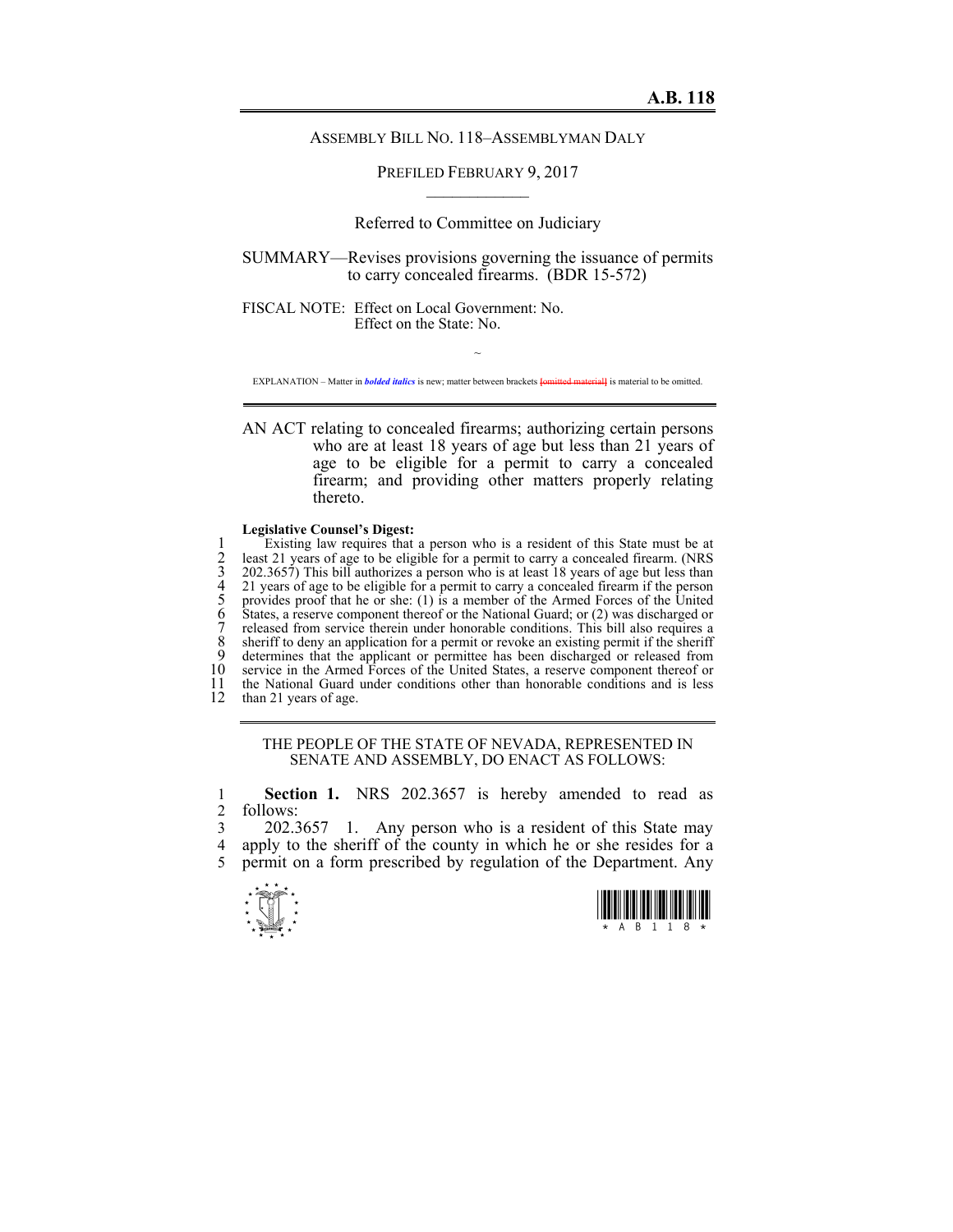## ASSEMBLY BILL NO. 118–ASSEMBLYMAN DALY

PREFILED FEBRUARY 9, 2017  $\mathcal{L}_\text{max}$ 

Referred to Committee on Judiciary

SUMMARY—Revises provisions governing the issuance of permits to carry concealed firearms. (BDR 15-572)

FISCAL NOTE: Effect on Local Government: No. Effect on the State: No.

~ EXPLANATION – Matter in *bolded italics* is new; matter between brackets **[**omitted material**]** is material to be omitted.

AN ACT relating to concealed firearms; authorizing certain persons who are at least 18 years of age but less than 21 years of age to be eligible for a permit to carry a concealed firearm; and providing other matters properly relating thereto.

## **Legislative Counsel's Digest:**

Existing law requires that a person who is a resident of this State must be at least 21 years of age to be eligible for a permit to carry a concealed firearm. (NRS 202.3657) This bill authorizes a person who is at least 18 least 21 years of age to be eligible for a permit to carry a concealed firearm. (NRS 3 202.3657) This bill authorizes a person who is at least 18 years of age but less than 4 21 years of age to be eligible for a permit to carry a concealed firearm if the person 5 provides proof that he or she: (1) is a member of the Armed Forces of the United 6 States, a reserve component thereof or the National Guard; or (2) was discharged or released from service therein under honorable conditions. This bill also requires a 8 sheriff to deny an application for a permit or revoke an existing permit if the sheriff<br>9 determines that the applicant or permittee has been discharged or released from 9 determines that the applicant or permittee has been discharged or released from 10 service in the Armed Forces of the United States a reserve component thereof or 10 service in the Armed Forces of the United States, a reserve component thereof or 11 the National Guard under conditions other than honorable conditions and is less 11 the National Guard under conditions other than honorable conditions and is less than 21 years of age. than 21 years of age.

> THE PEOPLE OF THE STATE OF NEVADA, REPRESENTED IN SENATE AND ASSEMBLY, DO ENACT AS FOLLOWS:

1 **Section 1.** NRS 202.3657 is hereby amended to read as 2 follows:

3 202.3657 1. Any person who is a resident of this State may 4 apply to the sheriff of the county in which he or she resides for a 5 permit on a form prescribed by regulation of the Department. Any



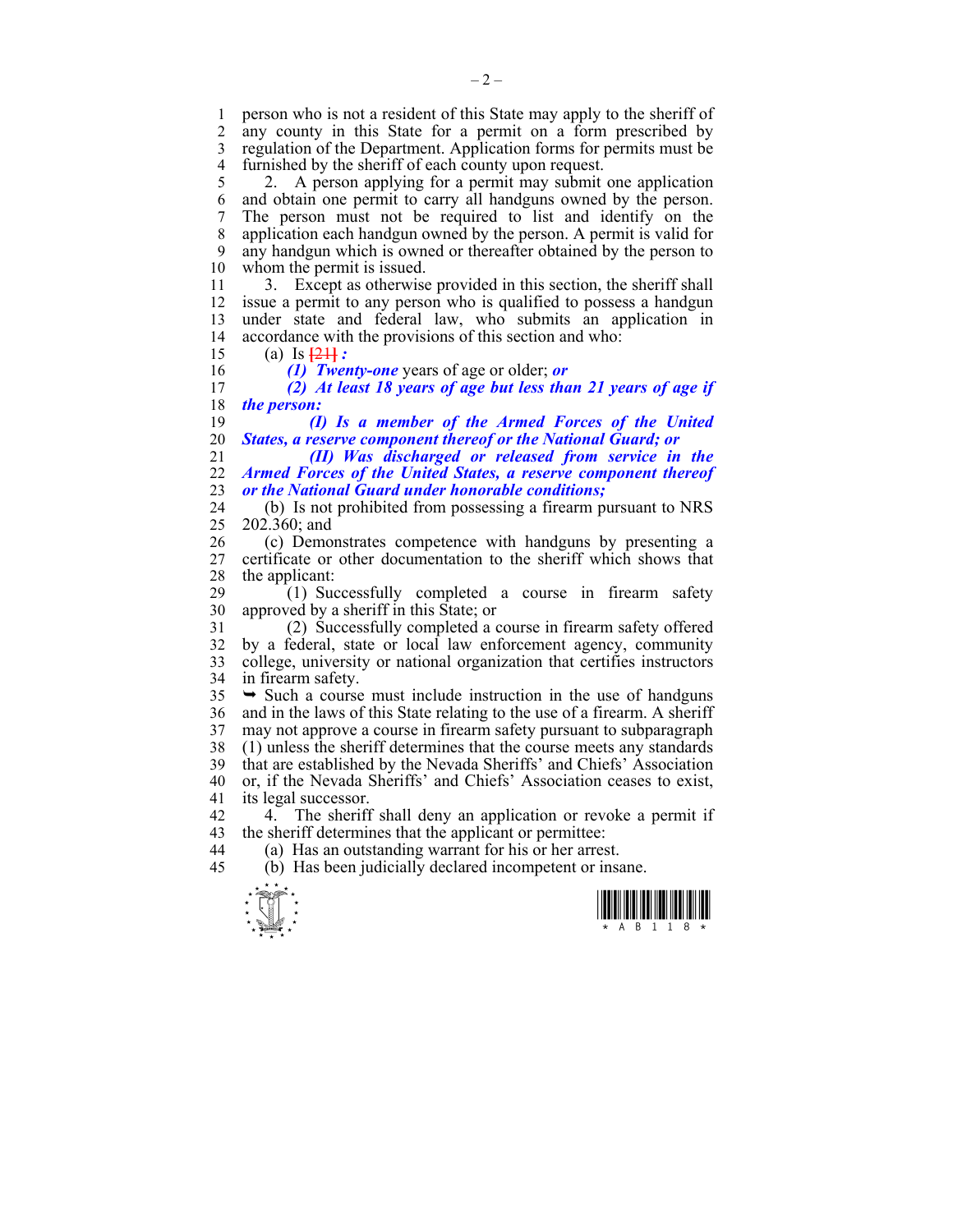1 person who is not a resident of this State may apply to the sheriff of 2 any county in this State for a permit on a form prescribed by any county in this State for a permit on a form prescribed by 3 regulation of the Department. Application forms for permits must be 4 furnished by the sheriff of each county upon request.

5 2. A person applying for a permit may submit one application 6 and obtain one permit to carry all handguns owned by the person. 7 The person must not be required to list and identify on the 8 application each handgun owned by the person. A permit is valid for 9 any handgun which is owned or thereafter obtained by the person to 10 whom the permit is issued.

11 3. Except as otherwise provided in this section, the sheriff shall 12 issue a permit to any person who is qualified to possess a handgun 13 under state and federal law, who submits an application in 14 accordance with the provisions of this section and who:

15 (a) Is **[**21**]** *:* 

16 *(1) Twenty-one* years of age or older; *or*  17 *(2) At least 18 years of age but less than 21 years of age if*  18 *the person:* 

19 *(I) Is a member of the Armed Forces of the United*  20 *States, a reserve component thereof or the National Guard; or* 

21 *(II) Was discharged or released from service in the*  22 *Armed Forces of the United States, a reserve component thereof*  23 *or the National Guard under honorable conditions;* 

24 (b) Is not prohibited from possessing a firearm pursuant to NRS 25 202.360; and

26 (c) Demonstrates competence with handguns by presenting a 27 certificate or other documentation to the sheriff which shows that 28 the applicant:

29 (1) Successfully completed a course in firearm safety 30 approved by a sheriff in this State; or

31 (2) Successfully completed a course in firearm safety offered 32 by a federal, state or local law enforcement agency, community 33 college, university or national organization that certifies instructors 34 in firearm safety.

 $35 \rightarrow$  Such a course must include instruction in the use of handguns 36 and in the laws of this State relating to the use of a firearm. A sheriff 37 may not approve a course in firearm safety pursuant to subparagraph 38 (1) unless the sheriff determines that the course meets any standards 39 that are established by the Nevada Sheriffs' and Chiefs' Association 40 or, if the Nevada Sheriffs' and Chiefs' Association ceases to exist, 41 its legal successor.

42 4. The sheriff shall deny an application or revoke a permit if 43 the sheriff determines that the applicant or permittee:

44 (a) Has an outstanding warrant for his or her arrest.

45 (b) Has been judicially declared incompetent or insane.



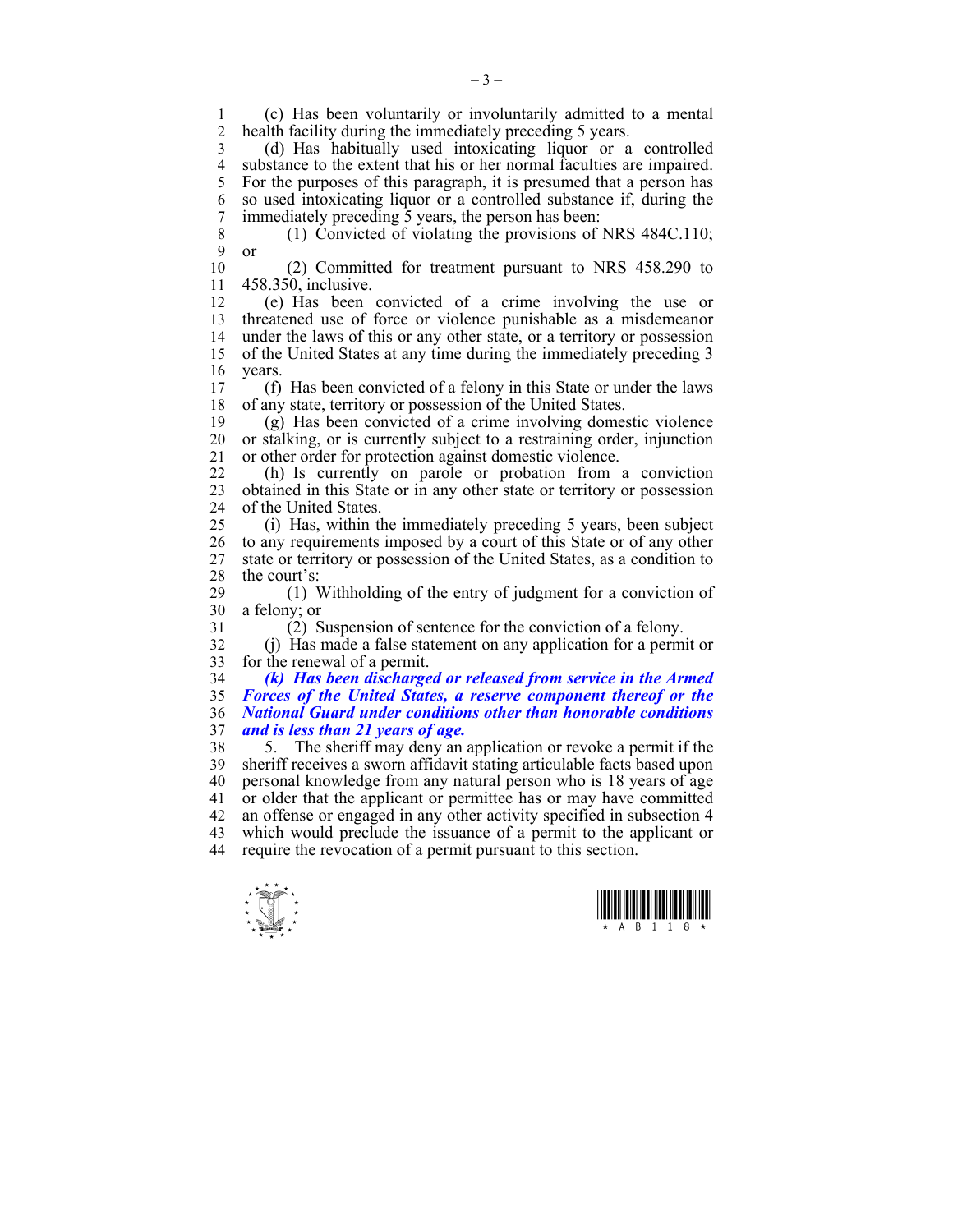1 (c) Has been voluntarily or involuntarily admitted to a mental health facility during the immediately preceding 5 years.

3 (d) Has habitually used intoxicating liquor or a controlled 4 substance to the extent that his or her normal faculties are impaired.<br>5 For the purposes of this paragraph, it is presumed that a person has 5 For the purposes of this paragraph, it is presumed that a person has 6 so used intoxicating liquor or a controlled substance if, during the 7 immediately preceding 5 years, the person has been:

8 (1) Convicted of violating the provisions of NRS 484C.110; 9 or

10 (2) Committed for treatment pursuant to NRS 458.290 to 11 458.350, inclusive.

12 (e) Has been convicted of a crime involving the use or 13 threatened use of force or violence punishable as a misdemeanor 14 under the laws of this or any other state, or a territory or possession 15 of the United States at any time during the immediately preceding 3 16 years.

17 (f) Has been convicted of a felony in this State or under the laws 18 of any state, territory or possession of the United States.

19 (g) Has been convicted of a crime involving domestic violence 20 or stalking, or is currently subject to a restraining order, injunction 21 or other order for protection against domestic violence.

22 (h) Is currently on parole or probation from a conviction 23 obtained in this State or in any other state or territory or possession 24 of the United States.

25 (i) Has, within the immediately preceding 5 years, been subject 26 to any requirements imposed by a court of this State or of any other 27 state or territory or possession of the United States, as a condition to 28 the court's:

29 (1) Withholding of the entry of judgment for a conviction of 30 a felony; or

31 (2) Suspension of sentence for the conviction of a felony.

32 (j) Has made a false statement on any application for a permit or 33 for the renewal of a permit.

*(k) Has been discharged or released from service in the Armed Forces of the United States, a reserve component thereof or the National Guard under conditions other than honorable conditions and is less than 21 years of age.* 

38 5. The sheriff may deny an application or revoke a permit if the 39 sheriff receives a sworn affidavit stating articulable facts based upon 40 personal knowledge from any natural person who is 18 years of age 41 or older that the applicant or permittee has or may have committed 42 an offense or engaged in any other activity specified in subsection 4 43 which would preclude the issuance of a permit to the applicant or 44 require the revocation of a permit pursuant to this section.